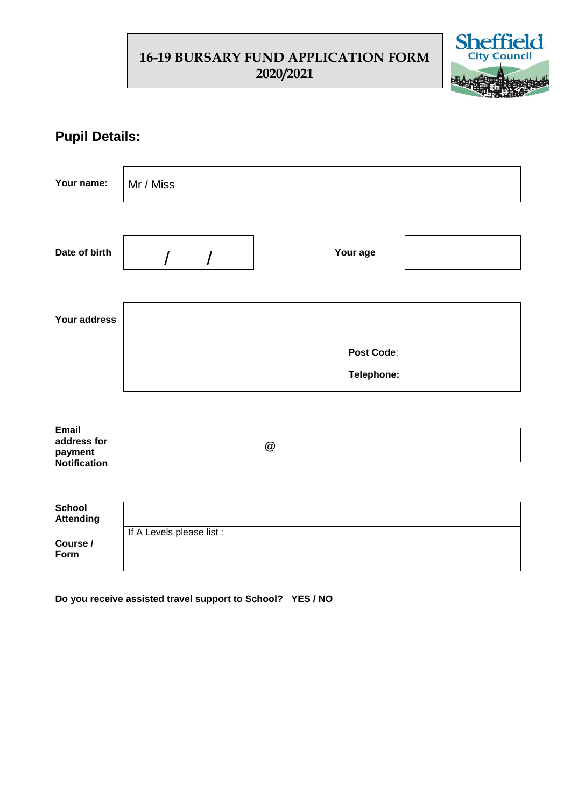## **16-19 BURSARY FUND APPLICATION FORM 2020/2021**



## **Pupil Details:**

| Your name:                                                    | Mr / Miss                 |              |  |  |  |  |  |
|---------------------------------------------------------------|---------------------------|--------------|--|--|--|--|--|
| Date of birth                                                 | $\overline{I}$            | Your age     |  |  |  |  |  |
| Your address                                                  |                           |              |  |  |  |  |  |
|                                                               | Post Code:                |              |  |  |  |  |  |
|                                                               | Telephone:                |              |  |  |  |  |  |
|                                                               |                           |              |  |  |  |  |  |
| <b>Email</b><br>address for<br>payment<br><b>Notification</b> |                           | $^\circledR$ |  |  |  |  |  |
|                                                               |                           |              |  |  |  |  |  |
| <b>School</b><br><b>Attending</b>                             |                           |              |  |  |  |  |  |
| Course /<br>Form                                              | If A Levels please list : |              |  |  |  |  |  |

**Do you receive assisted travel support to School? YES / NO**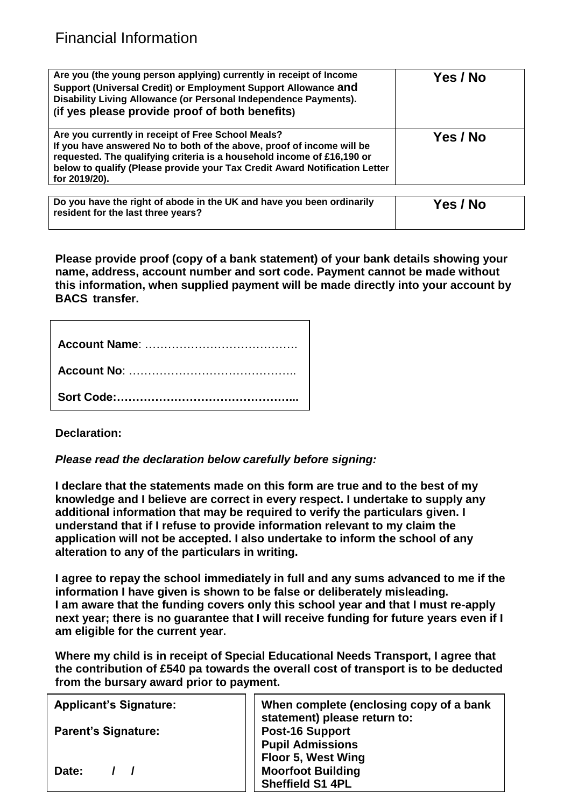| Are you (the young person applying) currently in receipt of Income<br>Support (Universal Credit) or Employment Support Allowance and<br>Disability Living Allowance (or Personal Independence Payments).<br>(if yes please provide proof of both benefits)                                           | Yes / No |
|------------------------------------------------------------------------------------------------------------------------------------------------------------------------------------------------------------------------------------------------------------------------------------------------------|----------|
| Are you currently in receipt of Free School Meals?<br>If you have answered No to both of the above, proof of income will be<br>requested. The qualifying criteria is a household income of £16,190 or<br>below to qualify (Please provide your Tax Credit Award Notification Letter<br>for 2019/20). | Yes / No |

| Do you have the right of abode in the UK and have you been ordinarily<br>resident for the last three years? | Yes / No |
|-------------------------------------------------------------------------------------------------------------|----------|
|                                                                                                             |          |

**Please provide proof (copy of a bank statement) of your bank details showing your name, address, account number and sort code. Payment cannot be made without this information, when supplied payment will be made directly into your account by BACS transfer.**

**Declaration:**

*Please read the declaration below carefully before signing:*

**I declare that the statements made on this form are true and to the best of my knowledge and I believe are correct in every respect. I undertake to supply any additional information that may be required to verify the particulars given. I understand that if I refuse to provide information relevant to my claim the application will not be accepted. I also undertake to inform the school of any alteration to any of the particulars in writing.**

**I agree to repay the school immediately in full and any sums advanced to me if the information I have given is shown to be false or deliberately misleading. I am aware that the funding covers only this school year and that I must re-apply next year; there is no guarantee that I will receive funding for future years even if I am eligible for the current year.**

**Where my child is in receipt of Special Educational Needs Transport, I agree that the contribution of £540 pa towards the overall cost of transport is to be deducted from the bursary award prior to payment.**

**Applicant's Signature:**

**Parent's Signature:**

**Date: / /**

**When complete (enclosing copy of a bank statement) please return to: Post-16 Support Pupil Admissions Floor 5, West Wing Moorfoot Building Sheffield S1 4PL**